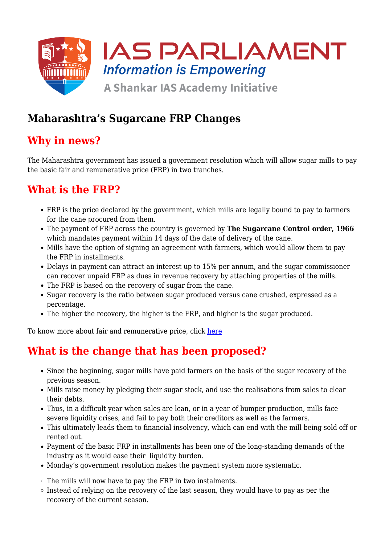

## **Maharashtra's Sugarcane FRP Changes**

## **Why in news?**

The Maharashtra government has issued a government resolution which will allow sugar mills to pay the basic fair and remunerative price (FRP) in two tranches.

# **What is the FRP?**

- FRP is the price declared by the government, which mills are legally bound to pay to farmers for the cane procured from them.
- The payment of FRP across the country is governed by **The Sugarcane Control order, 1966** which mandates payment within 14 days of the date of delivery of the cane.
- Mills have the option of signing an agreement with farmers, which would allow them to pay the FRP in installments.
- Delays in payment can attract an interest up to 15% per annum, and the sugar commissioner can recover unpaid FRP as dues in revenue recovery by attaching properties of the mills.
- The FRP is based on the recovery of sugar from the cane.
- Sugar recovery is the ratio between sugar produced versus cane crushed, expressed as a percentage.
- The higher the recovery, the higher is the FRP, and higher is the sugar produced.

To know more about fair and remunerative price, click [here](https://www.iasparliament.com/current-affairs/fair-and-remunerative-price)

## **What is the change that has been proposed?**

- Since the beginning, sugar mills have paid farmers on the basis of the sugar recovery of the previous season.
- Mills raise money by pledging their sugar stock, and use the realisations from sales to clear their debts.
- Thus, in a difficult year when sales are lean, or in a year of bumper production, mills face severe liquidity crises, and fail to pay both their creditors as well as the farmers.
- This ultimately leads them to financial insolvency, which can end with the mill being sold off or rented out.
- Payment of the basic FRP in installments has been one of the long-standing demands of the industry as it would ease their liquidity burden.
- Monday's government resolution makes the payment system more systematic.

 $\circ$  The mills will now have to pay the FRP in two instalments.

 $\circ$  Instead of relying on the recovery of the last season, they would have to pay as per the recovery of the current season.